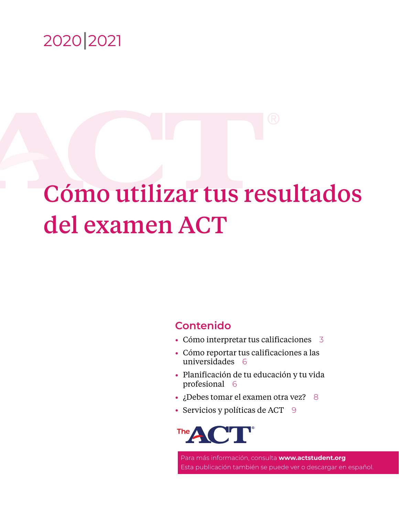

# Cómo utilizar tus resultados del examen ACT

# **Contenido**

- Cómo interpretar tus calificaciones [3](#page-2-0)
- Cómo reportar tus calificaciones a las universidades [6](#page-5-0)
- Planificación de tu educación y tu vida profesional [6](#page-5-1)
- ¿Debes tomar el examen otra vez? [8](#page-7-0)
- Servicios y políticas de ACT  $9$



Para más información, consulta **<www.actstudent.org>** Esta publicación también se puede ver o descargar en español.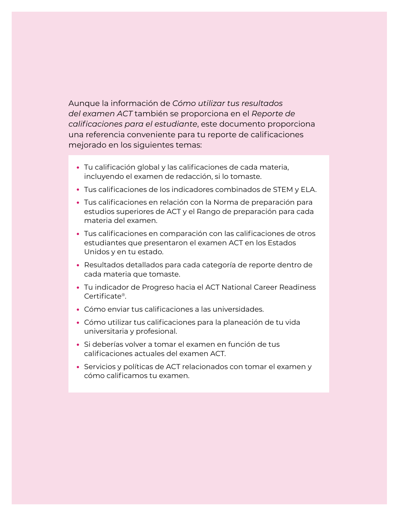Aunque la información de *Cómo utilizar tus resultados del examen ACT* también se proporciona en el *Reporte de calificaciones para el estudiante*, este documento proporciona una referencia conveniente para tu reporte de calificaciones mejorado en los siguientes temas:

- Tu calificación global y las calificaciones de cada materia, incluyendo el examen de redacción, si lo tomaste.
- Tus calificaciones de los indicadores combinados de STEM y ELA.
- Tus calificaciones en relación con la Norma de preparación para estudios superiores de ACT y el Rango de preparación para cada materia del examen.
- Tus calificaciones en comparación con las calificaciones de otros estudiantes que presentaron el examen ACT en los Estados Unidos y en tu estado.
- Resultados detallados para cada categoría de reporte dentro de cada materia que tomaste.
- Tu indicador de Progreso hacia el ACT National Career Readiness Certificate®.
- Cómo enviar tus calificaciones a las universidades.
- Cómo utilizar tus calificaciones para la planeación de tu vida universitaria y profesional.
- Si deberías volver a tomar el examen en función de tus calificaciones actuales del examen ACT.
- Servicios y políticas de ACT relacionados con tomar el examen y cómo calificamos tu examen.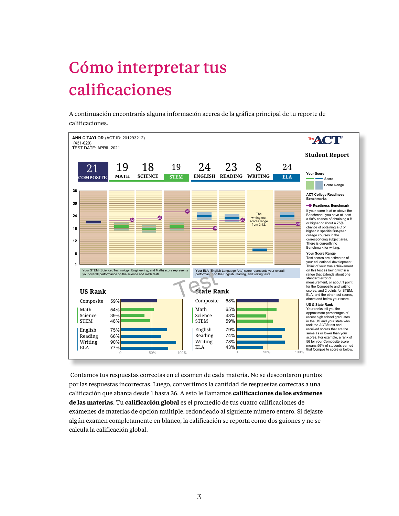# <span id="page-2-0"></span>Cómo interpretar tus calificaciones

A continuación encontrarás alguna información acerca de la gráfica principal de tu reporte de calificaciones.



Contamos tus respuestas correctas en el examen de cada materia. No se descontaron puntos Preparing for Higher Math 15 of 35 **43%** Production of Writing 17 of 23 **74%** por las respuestas incorrectas. Luego, convertimos la cantidad de respuestas correctas a una calificación que abarca desde 1 hasta 36. A esto le llamamos **calificaciones de los exámenes de las materias**. Tu **calificación global** es el promedio de tus cuatro calificaciones de exámenes de materias de opción múltiple, redondeado al siguiente número entero. Si dejaste algún examen completamente en blanco, la calificación se reporta como dos guiones y no se calcula la calificación global. Modeling 12 of 21 **57%** cación que abarca desde 1 hasta 36. A esto le llamamos **calificaciones de lo** Integration of 5 of 6 **83%** s mate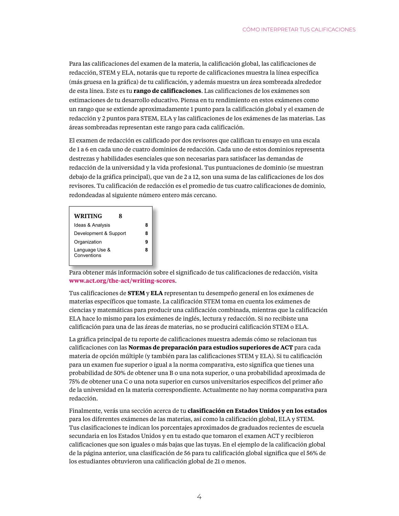Para las calificaciones del examen de la materia, la calificación global, las calificaciones de redacción, STEM y ELA, notarás que tu reporte de calificaciones muestra la línea específica (más gruesa en la gráfica) de tu calificación, y además muestra un área sombreada alrededor de esta línea. Este es tu **rango de calificaciones**. Las calificaciones de los exámenes son estimaciones de tu desarrollo educativo. Piensa en tu rendimiento en estos exámenes como un rango que se extiende aproximadamente 1 punto para la calificación global y el examen de Knowledge of Language 10 of 12 **83%** ü redacción y 2 puntos para STEM, ELA y las calificaciones de los exámenes de las materias. Las áreas sombreadas representan este rango para cada calificación. dacción y 2 puntos para STEM, ELA y las calificaciones de lo

> El examen de redacción es calificado por dos revisores que califican tu ensayo en una escala **READING 23** de 1 a 6 en cada uno de cuatro dominios de redacción. Cada uno de estos dominios representa destrezas y habilidades esenciales que son necesarias para satisfacer las demandas de redacción de la universidad y la vida profesional. Tus puntuaciones de dominio (se muestran debajo de la gráfica principal), que van de 2 a 12, son una suma de las calificaciones de los dos revisores. Tu calificación de redacción es el promedio de tus cuatro calificaciones de dominio, redondeadas al siguiente número entero más cercano.  $\frac{1}{2}$   $\frac{1}{2}$   $\frac{1}{2}$   $\frac{1}{2}$   $\frac{1}{2}$   $\frac{1}{2}$   $\frac{1}{2}$   $\frac{1}{2}$   $\frac{1}{2}$   $\frac{1}{2}$   $\frac{1}{2}$   $\frac{1}{2}$   $\frac{1}{2}$   $\frac{1}{2}$   $\frac{1}{2}$   $\frac{1}{2}$   $\frac{1}{2}$   $\frac{1}{2}$   $\frac{1}{2}$   $\frac{1}{2}$   $\frac{1}{2}$   $\frac{1}{2}$   $\$

| WRITING<br>x                  |   |
|-------------------------------|---|
| Ideas & Analysis              | 8 |
| Development & Support         | 8 |
| Organization                  |   |
| Language Use &<br>Conventions |   |

Para obtener más información sobre el significado de tus calificaciones de redacción, visita <www.act.org/the-act/writing-scores>. where el significado de tus est.<br>**Notas de termina** 

Tus calificaciones de **STEM** y **ELA** representan tu desempeño general en los exámenes de materias específicos que tomaste. La calificación STEM toma en cuenta los exámenes de ciencias y matemáticas para producir una calificación combinada, mientras que la calificación ELA hace lo mismo para los exámenes de inglés, lectura y redacción. Si no recibiste una calificación para una de las áreas de materias, no se producirá calificación STEM o ELA.

La gráfica principal de tu reporte de calificaciones muestra además cómo se relacionan tus calificaciones con las **Normas de preparación para estudios superiores de ACT** para cada materia de opción múltiple (y también para las calificaciones STEM y ELA). Si tu calificación para un examen fue superior o igual a la norma comparativa, esto significa que tienes una probabilidad de 50% de obtener una B o una nota superior, o una probabilidad aproximada de 75% de obtener una C o una nota superior en cursos universitarios específicos del primer año de la universidad en la materia correspondiente. Actualmente no hay norma comparativa para redacción.

Finalmente, verás una sección acerca de tu **clasificación en Estados Unidos y en los estados** para los diferentes exámenes de las materias, así como la calificación global, ELA y STEM. Tus clasificaciones te indican los porcentajes aproximados de graduados recientes de escuela secundaria en los Estados Unidos y en tu estado que tomaron el examen ACT y recibieron calificaciones que son iguales o más bajas que las tuyas. En el ejemplo de la calificación global de la página anterior, una clasificación de 56 para tu calificación global significa que el 56% de los estudiantes obtuvieron una calificación global de 21 o menos.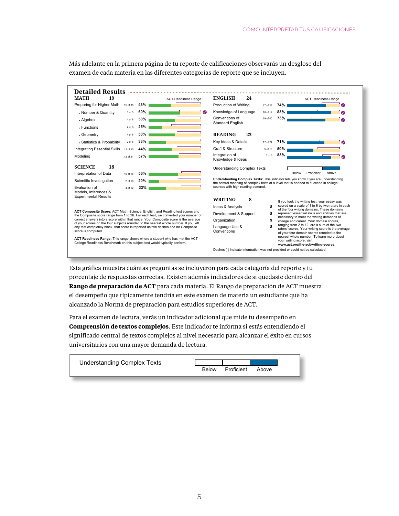$E$ <sub> $\frac{1}{3}$   $\frac{1}{3}$   $\frac{1}{3}$   $\frac{1}{3}$   $\frac{1}{3}$   $\frac{1}{3}$   $\frac{1}{3}$   $\frac{1}{3}$   $\frac{1}{3}$   $\frac{1}{3}$   $\frac{1}{3}$   $\frac{1}{3}$   $\frac{1}{3}$   $\frac{1}{3}$   $\frac{1}{3}$   $\frac{1}{3}$   $\frac{1}{3}$   $\frac{1}{3}$   $\frac{1}{3}$   $\frac{1}{3}$   $\frac{1}{3}$   $\frac{1}{3$ your experience and the control of the control of the control of the control of the control of the control of Detailed Results *International Programmer Research* think of your true achievement of your true achievement of your true achievement of your true achievement of y **MATH 19** ACT Readiness Range  $ENGLISH$  **24** ACT Readiness Range **IVIAII 19**<br>Preparing for Higher Math 15 of 35 **43%** ü **Production of Writing** 17 of 23 **74% Preparing for Higher Math**  $15$  of 35  $\overline{43\%}$ ü • Number & Quantity 3 of 5 60% Knowledge of Language 10 of 12 83% ü 4 of 8 **50% Conventions of 29 of 40 73%** . Algebra ü Standard English **for the Composite and Writing Standard English** 2 of 8 **25% .** Functions **CED** Separatry **READING** 23 4 of 8 **50% KEADING 25**<br>Key Ideas & Details 17 of 24 **71%** • Statistics & Probability 2 of 6 33% ü Rey loeas & Details and the total **50%**<br>Craft & Structure **below** 50% Integrating Essential Skills 11 of 25 44% Integration of 5 of 6 **83%** Modeling 12 of 21 **57%** ü **SCIENCE** 18 Knowledge & Ideas Understanding Complex Texts **IDENTE 10**<br>Interpretation of Data 10 of 18 **56%** recent high school graduates Below Proficient Above Scientific Investigation 2 of 10 **20% Understanding Complex Texts:** This indicator lets you know if you are understanding a ka the central meaning of complex texts at a level that is needed to succeed in college<br>courses with high reading demand. Evaluation of  $4 \text{ of } 12$  **33%** - 1 Models, Inferences &<br>Experimental Results Experimental Results  **<b>8** Reading 74% If you took the writing test, your essay was Ideas & Analysis **8**<br> **8** Scored of the formulation of the formulation of the formulation of the formulation of the formulation of the formulation of the formulation of the formulation of the formulation of the formulation scored on a scale of 1 to 6 by two raters in each of the four writing domains. These domains represent essential skills and abilities that are <sup>l</sup> Air Traffic Controller ACT Composite Score: ACT Math, Science, English, and Reading test scores and<br>the Composite score range from 1 to 36. For each test, we converted your number of of the<br>Development & Support **8 8** repre necessary to meet the writing demands of correct answers into a score within that range. Your Composite score is the average<br>of your scores on the four subjects rounded to the nearest whole number. If you left correct answers into a score within that range. Your Composite score is the average Organization **9** <sup>l</sup> Broadcast Technician college and career. Your domain scores, ranging from 2 to 12, are a sum of the two<br>raters' scores. Your writing score is the average<br>ward that Composite scores. Your writing score is the average Language Use & **8** any test completely blank, that score is reported as two dashes and no Composite  $\overline{C}$ <sup>l</sup> Computer Programmer score is computed. **Conventions** of your four domain scores rounded to the nearest whole number. To learn more about <sup>l</sup> Forester ACT Readiness Range: This range shows where a student who has met the ACT<br>College Readiness Benchmark on this subject test would typically perform.<br>Dashes (-) indicate information was not provided or could not be calculate your writing score, visit **www.act.org/the-act/writing-scores**. Dashes (-) indicate information was not provided or could not be calculated.

Más adelante en la primera página de tu reporte de calificaciones observarás un desglose del examen de cada materia en las diferentes categorías de reporte que se incluyen.  $\alpha$  autralic  $\epsilon_{\rm H}$  $\mathbf{F}$   $\mathbf{F}$   $\mathbf{F}$ rie de canncac ficaciones observarás un desglose del ficaciones observar

Esta gráfica muestra cuántas preguntas se incluyeron para cada categoría del reporte y tu Production of Writing 17 of 23 **74%** ü porcentaje de respuestas correctas. Existen además indicadores de si quedaste dentro del **Rango de preparación de ACT** para cada materia. El Rango de preparación de ACT muestra el desempeño que típicamente tendría en este examen de materia un estudiante que ha alcanzado la Norma de preparación para estudios superiores de ACT. **READING 23**

Para el examen de lectura, verás un indicador adicional que mide tu desempeño en **Comprensión de textos complejos**. Este indicador te informa si estás entendiendo el significado central de textos complejos al nivel necesario para alcanzar el éxito en cursos universitarios con una mayor demanda de lectura. Integration of 5 of 6 **83%** weisharios con una

| <b>Understanding Complex Texts</b> |              |            |       |  |
|------------------------------------|--------------|------------|-------|--|
|                                    | <b>Below</b> | Proficient | Ahove |  |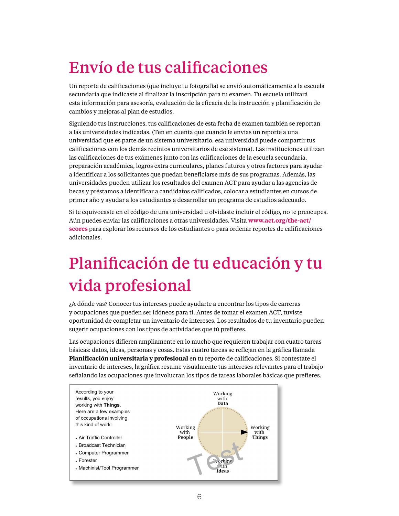# <span id="page-5-0"></span>Envío de tus calificaciones

Un reporte de calificaciones (que incluye tu fotografía) se envió automáticamente a la escuela secundaria que indicaste al finalizar la inscripción para tu examen. Tu escuela utilizará esta información para asesoría, evaluación de la eficacia de la instrucción y planificación de cambios y mejoras al plan de estudios.

Siguiendo tus instrucciones, tus calificaciones de esta fecha de examen también se reportan a las universidades indicadas. (Ten en cuenta que cuando le envías un reporte a una universidad que es parte de un sistema universitario, esa universidad puede compartir tus calificaciones con los demás recintos universitarios de ese sistema). Las instituciones utilizan las calificaciones de tus exámenes junto con las calificaciones de la escuela secundaria, preparación académica, logros extra curriculares, planes futuros y otros factores para ayudar a identificar a los solicitantes que puedan beneficiarse más de sus programas. Además, las universidades pueden utilizar los resultados del examen ACT para ayudar a las agencias de becas y préstamos a identificar a candidatos calificados, colocar a estudiantes en cursos de primer año y ayudar a los estudiantes a desarrollar un programa de estudios adecuado. **Sending Your Scores** 1. **AUBURN UNIVERSITY**

Si te equivocaste en el código de una universidad u olvidaste incluir el código, no te preocupes. Aún puedes enviar las calificaciones a otras universidades. Visita **[www.act.org/the-act/](www.act.org/the-act/scores)** [scores](www.act.org/the-act/scores) para explorar los recursos de los estudiantes o para ordenar reportes de calificaciones adicionales. At your scores from this test date are also being reported to the colleges of the colleges of the colleges of the colleges of the colleges of the colleges of the colleges of the colleges of the colleges of the  $\overline{\phantom{a}}$ re equivolaste en el coulgo de una universidad d'orvidaste me

#### <span id="page-5-1"></span>Planificación de tu educación y tu vida profesional  $\mathcal{A}$ addition, college can use results on the ACT to assist the ACT to assist the ACT to a  $\ddot{\phantom{a}}$  is denoted candidates, place studies, and help studies, and help studies, and help studies, and help studies If you entered a college code incorrectly or forgot to include one, don't worry! You can still send scores to other colleges. Visit **www.act.org/the-act/scores** to explore student

¿A dónde vas? Conocer tus intereses puede ayudarte a encontrar los tipos de carreras resources or to order additional score reports. y ocupaciones que pueden ser idóneos para ti. Antes de tomar el examen ACT, tuviste oportunidad de completar un inventario de intereses. Los resultados de tu inventario pueden sugerir ocupaciones con los tipos de actividades que tú prefieres.

Las ocupaciones difieren ampliamente en lo mucho que requieren trabajar con cuatro tareas básicas: datos, ideas, personas y cosas. Estas cuatro tareas se reflejan en la gráfica llamada **Where Are You Going? Planificación universitaria y profesional** en tu reporte de calificaciones. Si contestate el inventario de intereses, la gráfica resume visualmente tus intereses relevantes para el trabajo señalando las ocupaciones que involucran los tipos de tareas laborales básicas que prefieres.  $\alpha$  crabajo.

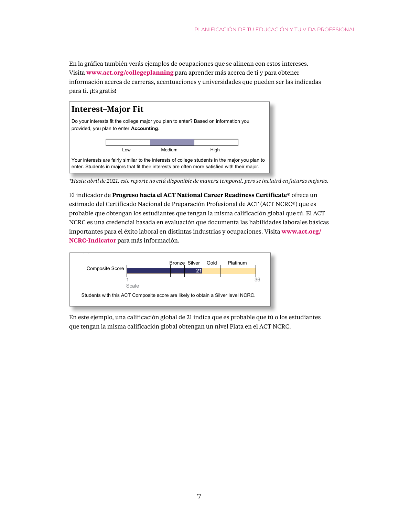En la gráfica también verás ejemplos de ocupaciones que se alinean con estos intereses. Visita **<www.act.org/collegeplanning>** para aprender más acerca de ti y para obtener información acerca de carreras, acentuaciones y universidades que pueden ser las indicadas para ti. ¡Es gratis! mación acerca de carreras, acentuaciones y universidades que pueden ser las indicadas  $\texttt{B}\texttt{S}\texttt{e}\texttt{S}\texttt{e}$ 



*\*Hasta abril de 2021, este reporte no está disponible de manera temporal, pero se incluirá en futuras mejoras.* 

El indicador de **Progreso hacia el ACT National Career Readiness Certificate®** ofrece un **Career Readiness Certificate**® estimado del Certificado Nacional de Preparación Profesional de ACT (ACT NCRC®) que es<br>Decreased a constructivo de Actional de Actional de Actional de ACT NCRC®) que es probable que obtengan los estudiantes que tengan la misma calificación global que tú. El ACT<br>Career Readiness Certificate<sup>s</sup> NCRC es una credencial basada en evaluación que documenta las habilidades laborales básicas 1 36 importantes para el éxito laboral en distintas industrias y ocupaciones. Visita **www.act.org**/ **[NCRC-Indicator](www.act.org/NCRC-Indicator)** para más información. **iCRC-Indicator** para más información. Notative para et exite mooral en alomnas malastrias y ocapaciones. Tisita success across industries and occupations. Visit **www.act.org/NCRC-indicator** to learn



En este ejemplo, una calificación global de 21 indica que es probable que tú o los estudiantes que tengan la misma calificación global obtengan un nivel Plata en el ACT NCRC.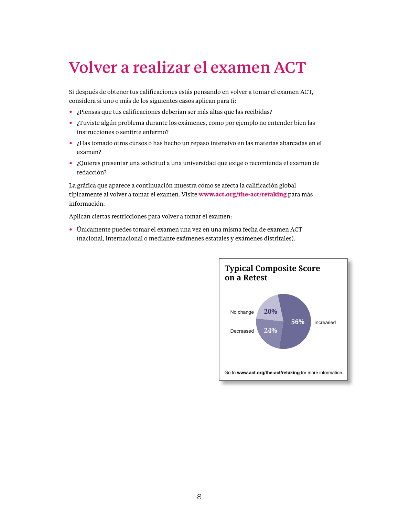### Volver a realizar el examen ACT first-year courses, and help students develop an appropriate program of study.

Si después de obtener tus calificaciones estás pensando en volver a tomar el examen ACT, considera si uno o más de los siguientes casos aplican para ti: or después de t

- <span id="page-7-0"></span>• ¿Piensas que tus calificaciones deberían ser más altas que las recibidas?
- ¿Tuviste algún problema durante los exámenes, como por ejemplo no entender bien las **Where Are You Going?**  instrucciones o sentirte enfermo?
- ¿Has tomado otros cursos o has hecho un repaso intensivo en las materias abarcadas en el Go to **www.act.org/collegeplanning** to learn more examen? o en las materias abarcadas en el
- ¿Quieres presentar una solicitud a una universidad que exige o recomienda el examen de redacción? **Retesting with the ACT**

La gráfica que aparece a continuación muestra cómo se afecta la calificación global típicamente al volver a tomar el examen. Visite **<www.act.org/the-act/retaking>** para más información. **applies to you:**

Aplican ciertas restricciones para volver a tomar el examen: misunderstanding the directions or feeling ill?

 $\bullet~$  Únicamente puedes tomar el examen una vez en una misma fecha de examen ACT (nacional, internacional o mediante exámenes estatales y exámenes distritales). refine foolig ao chainten

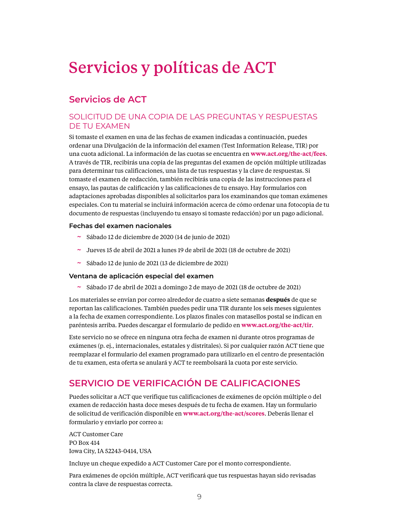# <span id="page-8-0"></span>Servicios y políticas de ACT

# **Servicios de ACT**

#### SOLICITUD DE UNA COPIA DE LAS PREGUNTAS Y RESPUESTAS DE TU EXAMEN

Si tomaste el examen en una de las fechas de examen indicadas a continuación, puedes ordenar una Divulgación de la información del examen (Test Information Release, TIR) por una cuota adicional. La información de las cuotas se encuentra en **<www.act.org/the-act/fees>**. A través de TIR, recibirás una copia de las preguntas del examen de opción múltiple utilizadas para determinar tus calificaciones, una lista de tus respuestas y la clave de respuestas. Si tomaste el examen de redacción, también recibirás una copia de las instrucciones para el ensayo, las pautas de calificación y las calificaciones de tu ensayo. Hay formularios con adaptaciones aprobadas disponibles al solicitarlos para los examinandos que toman exámenes especiales. Con tu material se incluirá información acerca de cómo ordenar una fotocopia de tu documento de respuestas (incluyendo tu ensayo si tomaste redacción) por un pago adicional.

#### **Fechas del examen nacionales**

- ~ Sábado 12 de diciembre de 2020 (14 de junio de 2021)
- $\sim$  Jueves 15 de abril de 2021 a lunes 19 de abril de 2021 (18 de octubre de 2021)
- $\sim$  Sábado 12 de junio de 2021 (13 de diciembre de 2021)

#### **Ventana de aplicación especial del examen**

~ Sábado 17 de abril de 2021 a domingo 2 de mayo de 2021 (18 de octubre de 2021)

Los materiales se envían por correo alrededor de cuatro a siete semanas **después** de que se reportan las calificaciones. También puedes pedir una TIR durante los seis meses siguientes a la fecha de examen correspondiente. Los plazos finales con matasellos postal se indican en paréntesis arriba. Puedes descargar el formulario de pedido en **<www.act.org/the-act/tir>**.

Este servicio no se ofrece en ninguna otra fecha de examen ni durante otros programas de exámenes (p. ej., internacionales, estatales y distritales). Si por cualquier razón ACT tiene que reemplazar el formulario del examen programado para utilizarlo en el centro de presentación de tu examen, esta oferta se anulará y ACT te reembolsará la cuota por este servicio.

## **SERVICIO DE VERIFICACIÓN DE CALIFICACIONES**

Puedes solicitar a ACT que verifique tus calificaciones de exámenes de opción múltiple o del examen de redacción hasta doce meses después de tu fecha de examen. Hay un formulario de solicitud de verificación disponible en **<www.act.org/the-act/scores>**. Deberás llenar el formulario y enviarlo por correo a:

ACT Customer Care PO Box 414 Iowa City, IA 52243-0414, USA

Incluye un cheque expedido a ACT Customer Care por el monto correspondiente.

Para exámenes de opción múltiple, ACT verificará que tus respuestas hayan sido revisadas contra la clave de respuestas correcta.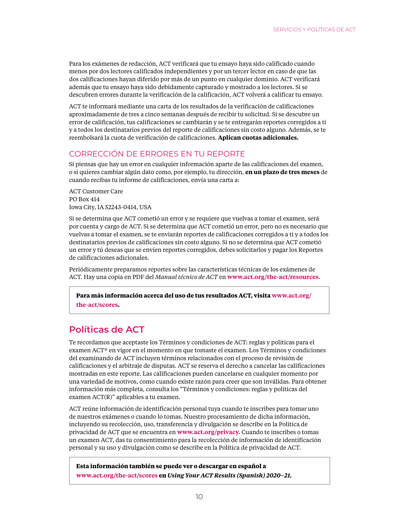Para los exámenes de redacción, ACT verificará que tu ensayo haya sido calificado cuando menos por dos lectores calificados independientes y por un tercer lector en caso de que las dos calificaciones hayan diferido por más de un punto en cualquier dominio. ACT verificará además que tu ensayo haya sido debidamente capturado y mostrado a los lectores. Si se descubren errores durante la verificación de la calificación, ACT volverá a calificar tu ensayo.

ACT te informará mediante una carta de los resultados de la verificación de calificaciones aproximadamente de tres a cinco semanas después de recibir tu solicitud. Si se descubre un error de calificación, tus calificaciones se cambiarán y se te entregarán reportes corregidos a ti y a todos los destinatarios previos del reporte de calificaciones sin costo alguno. Además, se te reembolsará la cuota de verificación de calificaciones. **Aplican cuotas adicionales.**

### CORRECCIÓN DE ERRORES EN TU REPORTE

Si piensas que hay un error en cualquier información aparte de las calificaciones del examen, o si quieres cambiar algún dato como, por ejemplo, tu dirección, **en un plazo de tres meses** de cuando recibas tu informe de calificaciones, envía una carta a:

ACT Customer Care PO Box 414 Iowa City, IA 52243-0414, USA

Si se determina que ACT cometió un error y se requiere que vuelvas a tomar el examen, será por cuenta y cargo de ACT. Si se determina que ACT cometió un error, pero no es necesario que vuelvas a tomar el examen, se te enviarán reportes de calificaciones corregidos a ti y a todos los destinatarios previos de calificaciones sin costo alguno. Si no se determina que ACT cometió un error y tú deseas que se envíen reportes corregidos, debes solicitarlos y pagar los Reportes de calificaciones adicionales.

Periódicamente preparamos reportes sobre las características técnicas de los exámenes de ACT. Hay una copia en PDF del *Manual técnico de ACT* en **<www.act.org/the-act/resources>**.

**Para más información acerca del uso de tus resultados ACT, visita [www.act.org/](http://www.act.org/the-act/scores)**

**[the-act/scores](http://www.act.org/the-act/scores).**

## **Políticas de ACT**

Te recordamos que aceptaste los Términos y condiciones de ACT: reglas y políticas para el examen ACT® en vigor en el momento en que tomaste el examen. Los Términos y condiciones del examinando de ACT incluyen términos relacionados con el proceso de revisión de calificaciones y el arbitraje de disputas. ACT se reserva el derecho a cancelar las calificaciones mostradas en este reporte. Las calificaciones pueden cancelarse en cualquier momento por una variedad de motivos, como cuando existe razón para creer que son inválidas. Para obtener información más completa, consulta los "Términos y condiciones: reglas y políticas del examen ACT(R)" aplicables a tu examen.

ACT reúne información de identificación personal tuya cuando te inscribes para tomar uno de nuestros exámenes o cuando lo tomas. Nuestro procesamiento de dicha información, incluyendo su recolección, uso, transferencia y divulgación se describe en la Política de privacidad de ACT que se encuentra en **<www.act.org/privacy>.** Cuando te inscribes o tomas un examen ACT, das tu consentimiento para la recolección de información de identificación personal y su uso y divulgación como se describe en la Política de privacidad de ACT.

**Esta información también se puede ver o descargar en español a <www.act.org/the-act/scores> en** *Using Your ACT Results (Spanish) 2020–21.*